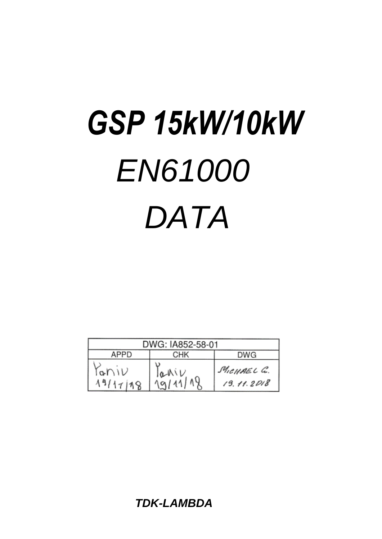# *EN61000 DATA GSP 15kW/10kW*

| DWG: IA852-58-01                             |  |                          |  |
|----------------------------------------------|--|--------------------------|--|
| APPD<br>СНК<br><b>DWG</b>                    |  |                          |  |
| raniv<br>$\frac{1aNV}{19/11/18}$<br>19/17/18 |  | MICHAEL C.<br>19.11.2018 |  |

*TDK-LAMBDA*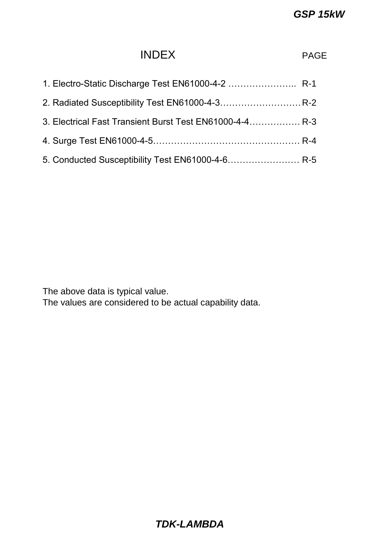# INDEX PAGE

| 1. Electro-Static Discharge Test EN61000-4-2  R-1       |  |
|---------------------------------------------------------|--|
|                                                         |  |
| 3. Electrical Fast Transient Burst Test EN61000-4-4 R-3 |  |
|                                                         |  |
| 5. Conducted Susceptibility Test EN61000-4-6 R-5        |  |

The above data is typical value.

The values are considered to be actual capability data.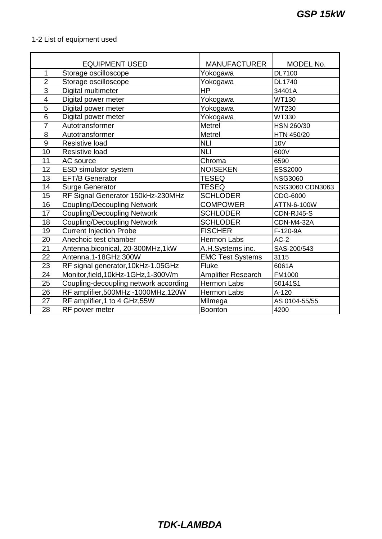|  | 1-2 List of equipment used |
|--|----------------------------|
|--|----------------------------|

|                          | <b>EQUIPMENT USED</b>                 | <b>MANUFACTURER</b>     | MODEL No.         |
|--------------------------|---------------------------------------|-------------------------|-------------------|
| 1                        | Storage oscilloscope                  | Yokogawa                | <b>DL7100</b>     |
| $\overline{2}$           | Storage oscilloscope                  | Yokogawa                | <b>DL1740</b>     |
| $\overline{3}$           | Digital multimeter                    | <b>HP</b>               | 34401A            |
| $\overline{\mathcal{A}}$ | Digital power meter                   | Yokogawa                | <b>WT130</b>      |
| 5                        | Digital power meter                   | Yokogawa                | <b>WT230</b>      |
| 6                        | Digital power meter                   | Yokogawa                | <b>WT330</b>      |
| $\overline{7}$           | Autotransformer                       | Metrel                  | HSN 260/30        |
| 8                        | Autotransformer                       | Metrel                  | HTN 450/20        |
| 9                        | <b>Resistive load</b>                 | <b>NLI</b>              | <b>10V</b>        |
| 10                       | Resistive load                        | <b>NLI</b>              | 600V              |
| 11                       | AC source                             | Chroma                  | 6590              |
| 12                       | <b>ESD simulator system</b>           | <b>NOISEKEN</b>         | <b>ESS2000</b>    |
| 13                       | <b>EFT/B Generator</b>                | <b>TESEQ</b>            | <b>NSG3060</b>    |
| 14                       | <b>Surge Generator</b>                | <b>TESEQ</b>            | NSG3060 CDN3063   |
| 15                       | RF Signal Generator 150kHz-230MHz     | <b>SCHLODER</b>         | CDG-6000          |
| 16                       | <b>Coupling/Decoupling Network</b>    | <b>COMPOWER</b>         | ATTN-6-100W       |
| 17                       | <b>Coupling/Decoupling Network</b>    | <b>SCHLODER</b>         | CDN-RJ45-S        |
| 18                       | <b>Coupling/Decoupling Network</b>    | <b>SCHLODER</b>         | <b>CDN-M4-32A</b> |
| 19                       | <b>Current Injection Probe</b>        | <b>FISCHER</b>          | F-120-9A          |
| 20                       | Anechoic test chamber                 | <b>Hermon Labs</b>      | $AC-2$            |
| 21                       | Antenna, biconical, 20-300MHz, 1kW    | A.H.Systems inc.        | SAS-200/543       |
| 22                       | Antenna, 1-18GHz, 300W                | <b>EMC Test Systems</b> | 3115              |
| 23                       | RF signal generator, 10kHz-1.05GHz    | <b>Fluke</b>            | 6061A             |
| 24                       | Monitor, field, 10kHz-1GHz, 1-300V/m  | Amplifier Research      | FM1000            |
| 25                       | Coupling-decoupling network according | Hermon Labs             | 50141S1           |
| 26                       | RF amplifier, 500MHz - 1000MHz, 120W  | <b>Hermon Labs</b>      | $A-120$           |
| 27                       | RF amplifier, 1 to 4 GHz, 55W         | Milmega                 | AS 0104-55/55     |
| 28                       | RF power meter                        | <b>Boonton</b>          | 4200              |

## *TDK-LAMBDA*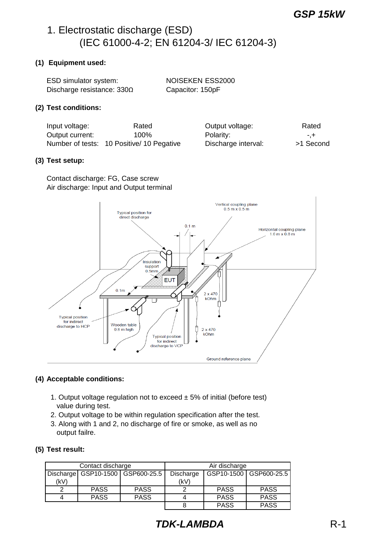# 1. Electrostatic discharge (ESD) (IEC 61000-4-2; EN 61204-3/ IEC 61204-3)

#### **(1) Equipment used:**

| ESD simulator system:             | <b>NOISEKEN ESS2000</b> |
|-----------------------------------|-------------------------|
| Discharge resistance: $330\Omega$ | Capacitor: 150pF        |

#### **(2) Test conditions:**

Input voltage: Rated Output current:  $100\%$ Number of tests: 10 Positive/ 10 Pegative Discharge interval: >1 Second

| Output voltage:     | Rated    |
|---------------------|----------|
| Polarity:           | -.+      |
| Discharge interval: | >1 Secon |

#### **(3) Test setup:**

Contact discharge: FG, Case screw Air discharge: Input and Output terminal



## **(4) Acceptable conditions:**

- 1. Output voltage regulation not to exceed  $\pm$  5% of initial (before test) value during test.
- 2. Output voltage to be within regulation specification after the test.
- 3. Along with 1 and 2, no discharge of fire or smoke, as well as no output failre.

## **(5) Test result:**

| Contact discharge |             | Air discharge                        |           |             |                          |
|-------------------|-------------|--------------------------------------|-----------|-------------|--------------------------|
|                   |             | Discharge   GSP10-1500   GSP600-25.5 | Discharge |             | GSP10-1500   GSP600-25.5 |
| (kV)              |             |                                      | (kV)      |             |                          |
|                   | <b>PASS</b> | <b>PASS</b>                          |           | <b>PASS</b> | <b>PASS</b>              |
|                   | <b>PASS</b> | <b>PASS</b>                          |           | <b>PASS</b> | <b>PASS</b>              |
|                   |             |                                      |           | <b>PASS</b> | <b>PASS</b>              |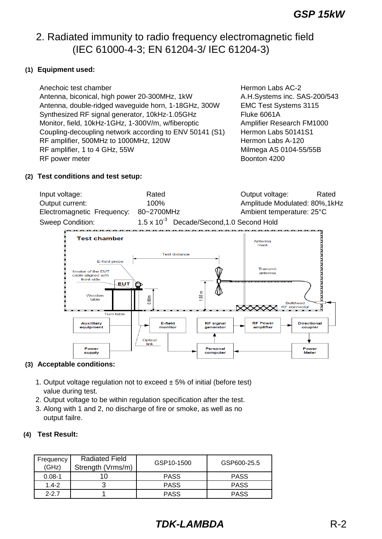# 2. Radiated immunity to radio frequency electromagnetic field (IEC 61000-4-3; EN 61204-3/ IEC 61204-3)

## **(1) Equipment used:**

Anechoic test chamber **Hermon Labs AC-2 Hermon Labs AC-2**  Antenna, biconical, high power 20-300MHz, 1kW A.H.Systems inc. SAS-200/543 Antenna, double-ridged waveguide horn, 1-18GHz, 300W EMC Test Systems 3115 Synthesized RF signal generator, 10kHz-1.05GHz Fluke 6061A Monitor, field, 10kHz-1GHz, 1-300V/m, w/fiberoptic Amplifier Research FM1000 Coupling-decoupling network according to ENV 50141 (S1) Hermon Labs 50141S1 RF amplifier, 500MHz to 1000MHz, 120W **Hermon Labs A-120** RF amplifier, 1 to 4 GHz, 55W Milmega AS 0104-55/55B RF power meter and the state of the Boonton 4200 state and the Boonton 4200 state of the Boonton 4200 state and the Boonton 4200 state and the Boonton 4200 state and the Boonton 4200 state and the Boonton 4200 state and th

#### **(2) Test conditions and test setup:**

| Input voltage:             | Rated                                                 | Output voltage:                | Rated |
|----------------------------|-------------------------------------------------------|--------------------------------|-------|
| Output current:            | $100\%$                                               | Amplitude Modulated: 80%, 1kHz |       |
| Electromagnetic Frequency: | 80~2700MHz                                            | Ambient temperature: 25°C      |       |
| Sweep Condition:           | 1.5 x 10 <sup>-3</sup> Decade/Second, 1.0 Second Hold |                                |       |



## **(3) Acceptable conditions:**

- 1. Output voltage regulation not to exceed  $\pm$  5% of initial (before test) value during test.
- 2. Output voltage to be within regulation specification after the test.
- 3. Along with 1 and 2, no discharge of fire or smoke, as well as no output failre.

## **(4) Test Result:**

| Frequency<br>(GHz) | <b>Radiated Field</b><br>Strength (Vrms/m) | GSP10-1500  | GSP600-25.5 |
|--------------------|--------------------------------------------|-------------|-------------|
| $0.08 - 1$         | 10                                         | <b>PASS</b> | <b>PASS</b> |
| $1.4 - 2$          |                                            | <b>PASS</b> | <b>PASS</b> |
| $2 - 27$           |                                            | <b>PASS</b> | <b>PASS</b> |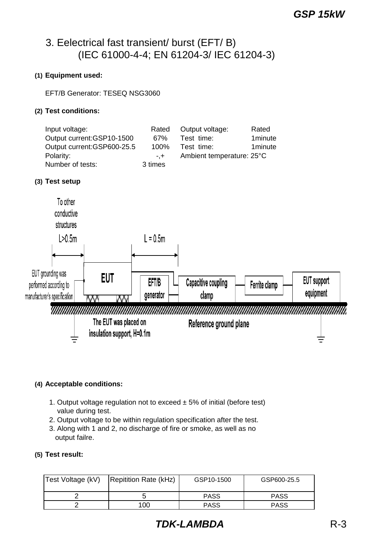# 3. Eelectrical fast transient/ burst (EFT/ B) (IEC 61000-4-4; EN 61204-3/ IEC 61204-3)

## **(1) Equipment used:**

## EFT/B Generator: TESEQ NSG3060

#### **(2) Test conditions:**

| Input voltage:              | Rated   | Output voltage:           | Rated    |
|-----------------------------|---------|---------------------------|----------|
| Output current: GSP10-1500  | 67%     | Test time:                | 1minute  |
| Output current: GSP600-25.5 | $100\%$ | Test time:                | 1 minute |
| Polarity:                   | $- +$   | Ambient temperature: 25°C |          |
| Number of tests:            | 3 times |                           |          |

## **(3) Test setup**



## **(4) Acceptable conditions:**

- 1. Output voltage regulation not to exceed  $\pm$  5% of initial (before test) value during test.
- 2. Output voltage to be within regulation specification after the test.
- 3. Along with 1 and 2, no discharge of fire or smoke, as well as no output failre.

#### **(5) Test result:**

| Test Voltage (kV) | Repitition Rate (kHz) | GSP10-1500  | GSP600-25.5 |
|-------------------|-----------------------|-------------|-------------|
|                   |                       | <b>PASS</b> | <b>PASS</b> |
|                   | 100                   | <b>PASS</b> | <b>PASS</b> |

## *TDK-LAMBDA* R-3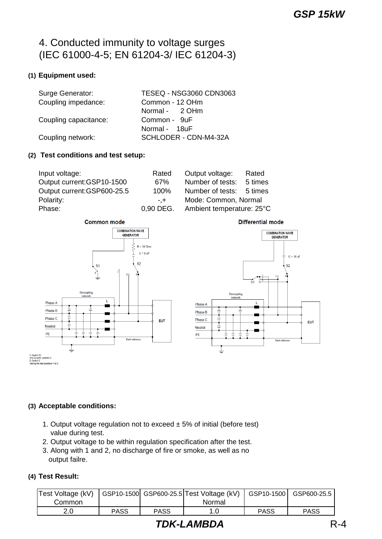# 4. Conducted immunity to voltage surges (IEC 61000-4-5; EN 61204-3/ IEC 61204-3)

## **(1) Equipment used:**

| Surge Generator:      | <b>TESEQ - NSG3060 CDN3063</b> |
|-----------------------|--------------------------------|
| Coupling impedance:   | Common - 12 OHm                |
|                       | Normal - 2 OHm                 |
| Coupling capacitance: | Common - 9uF                   |
|                       | Normal - 18uF                  |
| Coupling network:     | SCHLODER - CDN-M4-32A          |

#### **(2) Test conditions and test setup:**

| Input voltage:              | Rated     | Output voltage:           | Rated   |
|-----------------------------|-----------|---------------------------|---------|
| Output current: GSP10-1500  | 67%       | Number of tests:          | 5 times |
| Output current: GSP600-25.5 | 100%      | Number of tests: 5 times  |         |
| Polarity:                   | $- + -$   | Mode: Common, Normal      |         |
| Phase:                      | 0.90 DEG. | Ambient temperature: 25°C |         |



Differential mode



## **(3) Acceptable conditions:**

- 1. Output voltage regulation not to exceed  $\pm$  5% of initial (before test) value during test.
- 2. Output voltage to be within regulation specification after the test.
- 3. Along with 1 and 2, no discharge of fire or smoke, as well as no output failre.

## **(4) Test Result:**

| Test Voltage (kV)   GSP10-1500 GSP600-25.5 Test Voltage (kV) |             |             |        |             | GSP10-1500 GSP600-25.5 |
|--------------------------------------------------------------|-------------|-------------|--------|-------------|------------------------|
| Common                                                       |             |             | Normal |             |                        |
| 2.0                                                          | <b>PASS</b> | <b>PASS</b> |        | <b>PASS</b> | <b>PASS</b>            |